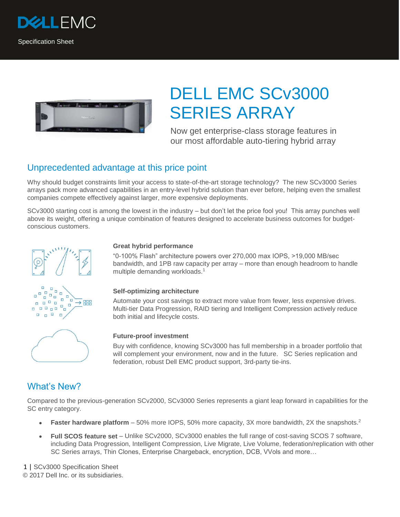



# DELL EMC SCv3000 SERIES ARRAY

Now get enterprise-class storage features in our most affordable auto-tiering hybrid array

## Unprecedented advantage at this price point

Why should budget constraints limit your access to state-of-the-art storage technology? The new SCv3000 Series arrays pack more advanced capabilities in an entry-level hybrid solution than ever before, helping even the smallest companies compete effectively against larger, more expensive deployments.

SCv3000 starting cost is among the lowest in the industry – but don't let the price fool you! This array punches well above its weight, offering a unique combination of features designed to accelerate business outcomes for budgetconscious customers.



#### **Great hybrid performance**

"0-100% Flash" architecture powers over 270,000 max IOPS, >19,000 MB/sec bandwidth, and 1PB raw capacity per array – more than enough headroom to handle multiple demanding workloads.<sup>1</sup>

#### **Self-optimizing architecture**

Automate your cost savings to extract more value from fewer, less expensive drives. Multi-tier Data Progression, RAID tiering and Intelligent Compression actively reduce both initial and lifecycle costs.



#### **Future-proof investment**

Buy with confidence, knowing SCv3000 has full membership in a broader portfolio that will complement your environment, now and in the future. SC Series replication and federation, robust Dell EMC product support, 3rd-party tie-ins.

## What's New?

Compared to the previous-generation SCv2000, SCv3000 Series represents a giant leap forward in capabilities for the SC entry category.

- **Faster hardware platform** 50% more IOPS, 50% more capacity, 3X more bandwidth, 2X the snapshots.<sup>2</sup>
- **Full SCOS feature set** Unlike SCv2000, SCv3000 enables the full range of cost-saving SCOS 7 software, including Data Progression, Intelligent Compression, Live Migrate, Live Volume, federation/replication with other SC Series arrays, Thin Clones, Enterprise Chargeback, encryption, DCB, VVols and more…

 1 | SCv3000 Specification Sheet © 2017 Dell Inc. or its subsidiaries.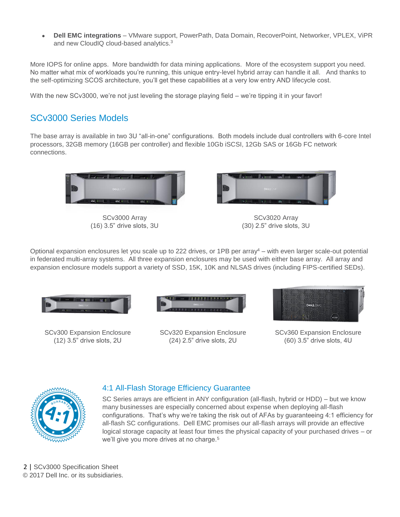**Dell EMC integrations** – VMware support, PowerPath, Data Domain, RecoverPoint, Networker, VPLEX, ViPR and new CloudIQ cloud-based analytics.<sup>3</sup>

More IOPS for online apps. More bandwidth for data mining applications. More of the ecosystem support you need. No matter what mix of workloads you're running, this unique entry-level hybrid array can handle it all. And thanks to the self-optimizing SCOS architecture, you'll get these capabilities at a very low entry AND lifecycle cost.

With the new SCv3000, we're not just leveling the storage playing field – we're tipping it in your favor!

## SCv3000 Series Models

The base array is available in two 3U "all-in-one" configurations. Both models include dual controllers with 6-core Intel processors, 32GB memory (16GB per controller) and flexible 10Gb iSCSI, 12Gb SAS or 16Gb FC network connections.



SCv3000 Array (16) 3.5" drive slots, 3U



SCv3020 Array (30) 2.5" drive slots, 3U

Optional expansion enclosures let you scale up to 222 drives, or  $1PB$  per array $4 -$  with even larger scale-out potential in federated multi-array systems. All three expansion enclosures may be used with either base array. All array and expansion enclosure models support a variety of SSD, 15K, 10K and NLSAS drives (including FIPS-certified SEDs).



SCv300 Expansion Enclosure (12) 3.5" drive slots, 2U



SCv320 Expansion Enclosure (24) 2.5" drive slots, 2U



SCv360 Expansion Enclosure (60) 3.5" drive slots, 4U



#### 4:1 All-Flash Storage Efficiency Guarantee

SC Series arrays are efficient in ANY configuration (all-flash, hybrid or HDD) – but we know many businesses are especially concerned about expense when deploying all-flash configurations. That's why we're taking the risk out of AFAs by guaranteeing 4:1 efficiency for all-flash SC configurations. Dell EMC promises our all-flash arrays will provide an effective logical storage capacity at least four times the physical capacity of your purchased drives – or we'll give you more drives at no charge.<sup>5</sup>

 2 | SCv3000 Specification Sheet © 2017 Dell Inc. or its subsidiaries.  $\mathsf{Sheet}\ \mathsf{Sheet}$ Terms and Conditions apply. Includes SC9000, SC7020 and SC4020. Does not apply to SCv2000.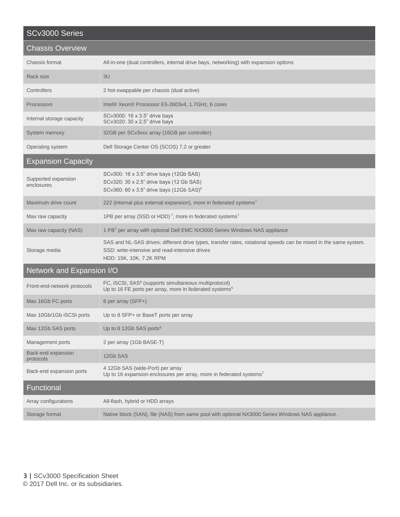| SCv3000 Series                    |                                                                                                                                                                                               |  |
|-----------------------------------|-----------------------------------------------------------------------------------------------------------------------------------------------------------------------------------------------|--|
| <b>Chassis Overview</b>           |                                                                                                                                                                                               |  |
| Chassis format                    | All-in-one (dual controllers, internal drive bays, networking) with expansion options                                                                                                         |  |
| Rack size                         | 3U                                                                                                                                                                                            |  |
| Controllers                       | 2 hot-swappable per chassis (dual active)                                                                                                                                                     |  |
| Processors                        | Intel® Xeon® Processor E5-2603v4, 1.7GHz, 6 cores                                                                                                                                             |  |
| Internal storage capacity         | SCv3000: 16 x 3.5" drive bays<br>SCv3020: 30 x 2.5" drive bays                                                                                                                                |  |
| System memory                     | 32GB per SCv3xxx array (16GB per controller)                                                                                                                                                  |  |
| Operating system                  | Dell Storage Center OS (SCOS) 7.2 or greater                                                                                                                                                  |  |
| <b>Expansion Capacity</b>         |                                                                                                                                                                                               |  |
| Supported expansion<br>enclosures | SCv300: 16 x 3.5" drive bays (12Gb SAS)<br>SCv320: 30 x 2.5" drive bays (12 Gb SAS)<br>SCv360: 60 x 3.5" drive bays (12Gb SAS) <sup>6</sup>                                                   |  |
| Maximum drive count               | 222 (internal plus external expansion), more in federated systems <sup>7</sup>                                                                                                                |  |
| Max raw capacity                  | 1PB per array (SSD or HDD) <sup>7</sup> , more in federated systems <sup>7</sup>                                                                                                              |  |
| Max raw capacity (NAS)            | 1 PB <sup>7</sup> per array with optional Dell EMC NX3000 Series Windows NAS appliance                                                                                                        |  |
| Storage media                     | SAS and NL-SAS drives; different drive types, transfer rates, rotational speeds can be mixed in the same system.<br>SSD: write-intensive and read-intensive drives<br>HDD: 15K, 10K, 7.2K RPM |  |
| Network and Expansion I/O         |                                                                                                                                                                                               |  |
| Front-end-network protocols       | FC, iSCSI, SAS <sup>8</sup> (supports simultaneous multiprotocol)<br>Up to 16 FE ports per array, more in federated systems <sup>6</sup>                                                      |  |
| Max 16Gb FC ports                 | 8 per array (SFP+)                                                                                                                                                                            |  |
| Max 10Gb/1Gb iSCSI ports          | Up to 8 SFP+ or BaseT ports per array                                                                                                                                                         |  |
| Max 12Gb SAS ports                | Up to 8 12Gb SAS ports <sup>8</sup>                                                                                                                                                           |  |
| Management ports                  | 2 per array (1Gb BASE-T)                                                                                                                                                                      |  |
| Back-end expansion<br>protocols   | 12Gb SAS                                                                                                                                                                                      |  |
| Back-end expansion ports          | 4 12Gb SAS (wide-Port) per array<br>Up to 16 expansion enclosures per array, more in federated systems <sup>7</sup>                                                                           |  |
| Functional                        |                                                                                                                                                                                               |  |
| Array configurations              | All-flash, hybrid or HDD arrays                                                                                                                                                               |  |
| Storage format                    | Native block (SAN), file (NAS) from same pool with optional NX3000 Series Windows NAS appliance.                                                                                              |  |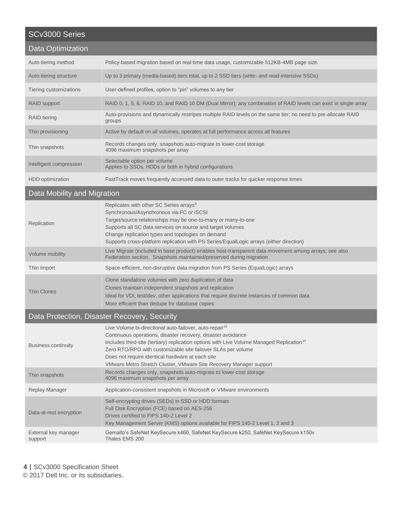## SCv3000 Series

| <b>Data Optimization</b> |  |  |
|--------------------------|--|--|
|                          |  |  |

| Auto-tiering method     | Policy-based migration based on real-time data usage, customizable 512KB-4MB page size.                                 |
|-------------------------|-------------------------------------------------------------------------------------------------------------------------|
| Auto-tiering structure  | Up to 3 primary (media-based) tiers total, up to 2 SSD tiers (write- and read-intensive SSDs)                           |
| Tiering customizations  | User-defined profiles, option to "pin" volumes to any tier                                                              |
| RAID support            | RAID 0, 1, 5, 6, RAID 10, and RAID 10 DM (Dual Mirror); any combination of RAID levels can exist in single array        |
| RAID tiering            | Auto-provisions and dynamically restripes multiple RAID levels on the same tier; no need to pre-allocate RAID<br>groups |
| Thin provisioning       | Active by default on all volumes, operates at full performance across all features                                      |
| Thin snapshots          | Records changes only, snapshots auto-migrate to lower-cost storage<br>4096 maximum snapshots per array                  |
| Intelligent compression | Selectable option per volume<br>Applies to SSDs, HDDs or both in hybrid configurations                                  |
| HDD optimization        | FastTrack moves frequently accessed data to outer tracks for quicker response times                                     |

## Data Mobility and Migration

| Replication        | Replicates with other SC Series arrays <sup>9</sup><br>Synchronous/Asynchronous via FC or iSCSI<br>Target/source relationships may be one-to-many or many-to-one<br>Supports all SC data services on source and target volumes<br>Change replication types and topologies on demand<br>Supports cross-platform replication with PS Series/EqualLogic arrays (either direction) |
|--------------------|--------------------------------------------------------------------------------------------------------------------------------------------------------------------------------------------------------------------------------------------------------------------------------------------------------------------------------------------------------------------------------|
| Volume mobility    | Live Migrate (included in base product) enables host-transparent data movement among arrays; see also<br>Federation section. Snapshots maintained/preserved during migration                                                                                                                                                                                                   |
| Thin Import        | Space-efficient, non-disruptive data migration from PS Series (EqualLogic) arrays                                                                                                                                                                                                                                                                                              |
| <b>Thin Clones</b> | Clone standalone volumes with zero duplication of data<br>Clones maintain independent snapshots and replication<br>Ideal for VDI, test/dev, other applications that require discrete instances of common data<br>More efficient than dedupe for database copies                                                                                                                |

## Data Protection, Disaster Recovery, Security

| <b>Business continuity</b>      | Live Volume bi-directional auto-failover, auto-repair <sup>10</sup><br>Continuous operations, disaster recovery, disaster avoidance<br>Includes third-site (tertiary) replication options with Live Volume Managed Replication <sup>10</sup><br>Zero RTO/RPO with customizable site failover SLAs per volume<br>Does not require identical hardware at each site<br>VMware Metro Stretch Cluster, VMware Site Recovery Manager support |
|---------------------------------|----------------------------------------------------------------------------------------------------------------------------------------------------------------------------------------------------------------------------------------------------------------------------------------------------------------------------------------------------------------------------------------------------------------------------------------|
| Thin snapshots                  | Records changes only, snapshots auto-migrate to lower-cost storage<br>4096 maximum snapshots per array                                                                                                                                                                                                                                                                                                                                 |
| Replay Manager                  | Application-consistent snapshots in Microsoft or VMware environments                                                                                                                                                                                                                                                                                                                                                                   |
| Data-at-rest encryption         | Self-encrypting drives (SEDs) in SSD or HDD formats<br>Full Disk Encryption (FCE) based on AES-256<br>Drives certified to FIPS 140-2 Level 2<br>Key Management Server (KMS) options available for FIPS 140-2 Level 1, 2 and 3                                                                                                                                                                                                          |
| External key manager<br>support | Gemalto's SafeNet KeySecure k460, SafeNet KeySecure k250, SafeNet KeySecure k150v<br>Thales EMS 200                                                                                                                                                                                                                                                                                                                                    |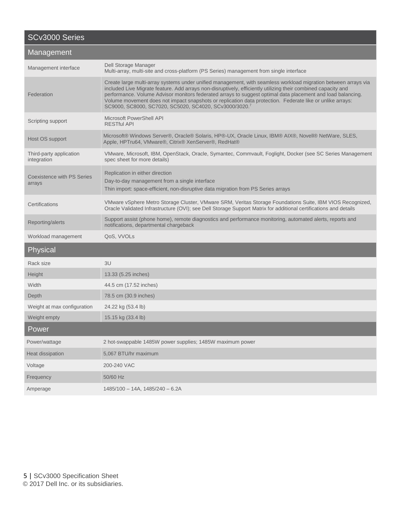| SCv3000 Series                              |                                                                                                                                                                                                                                                                                                                                                                                                                                                                                                                       |
|---------------------------------------------|-----------------------------------------------------------------------------------------------------------------------------------------------------------------------------------------------------------------------------------------------------------------------------------------------------------------------------------------------------------------------------------------------------------------------------------------------------------------------------------------------------------------------|
| Management                                  |                                                                                                                                                                                                                                                                                                                                                                                                                                                                                                                       |
| Management interface                        | Dell Storage Manager<br>Multi-array, multi-site and cross-platform (PS Series) management from single interface                                                                                                                                                                                                                                                                                                                                                                                                       |
| Federation                                  | Create large multi-array systems under unified management, with seamless workload migration between arrays via<br>included Live Migrate feature. Add arrays non-disruptively, efficiently utilizing their combined capacity and<br>performance. Volume Advisor monitors federated arrays to suggest optimal data placement and load balancing.<br>Volume movement does not impact snapshots or replication data protection. Federate like or unlike arrays:<br>SC9000, SC8000, SC7020, SC5020, SC4020, SCv3000/3020.7 |
| Scripting support                           | Microsoft PowerShell API<br><b>RESTful API</b>                                                                                                                                                                                                                                                                                                                                                                                                                                                                        |
| Host OS support                             | Microsoft® Windows Server®, Oracle® Solaris, HP®-UX, Oracle Linux, IBM® AIX®, Novell® NetWare, SLES,<br>Apple, HPTru64, VMware®, Citrix® XenServer®, RedHat®                                                                                                                                                                                                                                                                                                                                                          |
| Third-party application<br>integration      | VMware, Microsoft, IBM, OpenStack, Oracle, Symantec, Commvault, Foglight, Docker (see SC Series Management<br>spec sheet for more details)                                                                                                                                                                                                                                                                                                                                                                            |
| <b>Coexistence with PS Series</b><br>arrays | Replication in either direction<br>Day-to-day management from a single interface<br>Thin import: space-efficient, non-disruptive data migration from PS Series arrays                                                                                                                                                                                                                                                                                                                                                 |
| Certifications                              | VMware vSphere Metro Storage Cluster, VMware SRM, Veritas Storage Foundations Suite, IBM VIOS Recognized,<br>Oracle Validated Infrastructure (OVI); see Dell Storage Support Matrix for additional certifications and details                                                                                                                                                                                                                                                                                         |
| Reporting/alerts                            | Support assist (phone home), remote diagnostics and performance monitoring, automated alerts, reports and<br>notifications, departmental chargeback                                                                                                                                                                                                                                                                                                                                                                   |
| Workload management                         | QoS, VVOLs                                                                                                                                                                                                                                                                                                                                                                                                                                                                                                            |
| <b>Physical</b>                             |                                                                                                                                                                                                                                                                                                                                                                                                                                                                                                                       |
| Rack size                                   | 3U                                                                                                                                                                                                                                                                                                                                                                                                                                                                                                                    |
| Height                                      | 13.33 (5.25 inches)                                                                                                                                                                                                                                                                                                                                                                                                                                                                                                   |
| Width                                       | 44.5 cm (17.52 inches)                                                                                                                                                                                                                                                                                                                                                                                                                                                                                                |
| Depth                                       | 78.5 cm (30.9 inches)                                                                                                                                                                                                                                                                                                                                                                                                                                                                                                 |
| Weight at max configuration                 | 24.22 kg (53.4 lb)                                                                                                                                                                                                                                                                                                                                                                                                                                                                                                    |
| Weight empty                                | 15.15 kg (33.4 lb)                                                                                                                                                                                                                                                                                                                                                                                                                                                                                                    |
| Power                                       |                                                                                                                                                                                                                                                                                                                                                                                                                                                                                                                       |
| Power/wattage                               | 2 hot-swappable 1485W power supplies; 1485W maximum power                                                                                                                                                                                                                                                                                                                                                                                                                                                             |
| Heat dissipation                            | 5,067 BTU/hr maximum                                                                                                                                                                                                                                                                                                                                                                                                                                                                                                  |
| Voltage                                     | 200-240 VAC                                                                                                                                                                                                                                                                                                                                                                                                                                                                                                           |
| Frequency                                   | 50/60 Hz                                                                                                                                                                                                                                                                                                                                                                                                                                                                                                              |
| Amperage                                    | 1485/100 - 14A, 1485/240 - 6.2A                                                                                                                                                                                                                                                                                                                                                                                                                                                                                       |